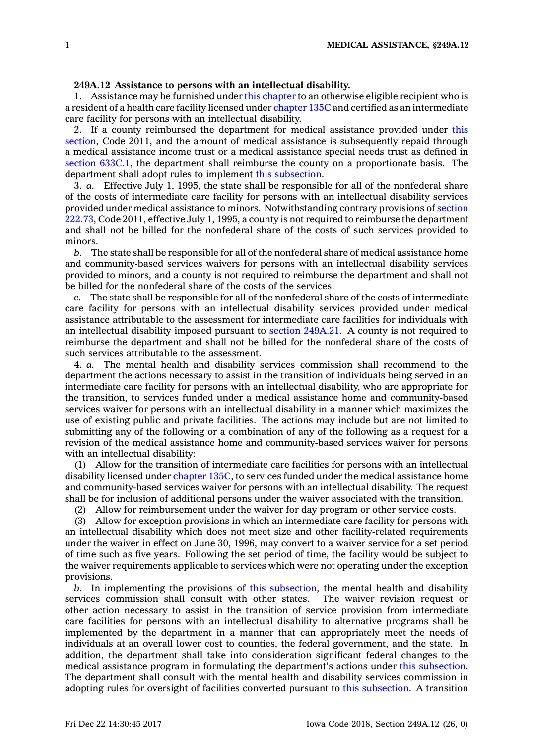## **249A.12 Assistance to persons with an intellectual disability.**

1. Assistance may be furnished under this [chapter](https://www.legis.iowa.gov/docs/code//249A.pdf) to an otherwise eligible recipient who is <sup>a</sup> resident of <sup>a</sup> health care facility licensed under [chapter](https://www.legis.iowa.gov/docs/code//135C.pdf) 135C and certified as an intermediate care facility for persons with an intellectual disability.

2. If <sup>a</sup> county reimbursed the department for medical assistance provided under [this](https://www.legis.iowa.gov/docs/code/2011/249A.12.pdf) [section](https://www.legis.iowa.gov/docs/code/2011/249A.12.pdf), Code 2011, and the amount of medical assistance is subsequently repaid through <sup>a</sup> medical assistance income trust or <sup>a</sup> medical assistance special needs trust as defined in section [633C.1](https://www.legis.iowa.gov/docs/code/633C.1.pdf), the department shall reimburse the county on <sup>a</sup> proportionate basis. The department shall adopt rules to implement this [subsection](https://www.legis.iowa.gov/docs/code/249A.12.pdf).

3. *a.* Effective July 1, 1995, the state shall be responsible for all of the nonfederal share of the costs of intermediate care facility for persons with an intellectual disability services provided under medical assistance to minors. Notwithstanding contrary provisions of [section](https://www.legis.iowa.gov/docs/code/2011/222.73.pdf) [222.73](https://www.legis.iowa.gov/docs/code/2011/222.73.pdf), Code 2011, effective July 1, 1995, <sup>a</sup> county is not required to reimburse the department and shall not be billed for the nonfederal share of the costs of such services provided to minors.

*b.* The state shall be responsible for all of the nonfederal share of medical assistance home and community-based services waivers for persons with an intellectual disability services provided to minors, and <sup>a</sup> county is not required to reimburse the department and shall not be billed for the nonfederal share of the costs of the services.

The state shall be responsible for all of the nonfederal share of the costs of intermediate care facility for persons with an intellectual disability services provided under medical assistance attributable to the assessment for intermediate care facilities for individuals with an intellectual disability imposed pursuant to section [249A.21](https://www.legis.iowa.gov/docs/code/249A.21.pdf). A county is not required to reimburse the department and shall not be billed for the nonfederal share of the costs of such services attributable to the assessment.

4. *a.* The mental health and disability services commission shall recommend to the department the actions necessary to assist in the transition of individuals being served in an intermediate care facility for persons with an intellectual disability, who are appropriate for the transition, to services funded under <sup>a</sup> medical assistance home and community-based services waiver for persons with an intellectual disability in <sup>a</sup> manner which maximizes the use of existing public and private facilities. The actions may include but are not limited to submitting any of the following or <sup>a</sup> combination of any of the following as <sup>a</sup> request for <sup>a</sup> revision of the medical assistance home and community-based services waiver for persons with an intellectual disability:

(1) Allow for the transition of intermediate care facilities for persons with an intellectual disability licensed under [chapter](https://www.legis.iowa.gov/docs/code//135C.pdf) 135C, to services funded under the medical assistance home and community-based services waiver for persons with an intellectual disability. The request shall be for inclusion of additional persons under the waiver associated with the transition.

(2) Allow for reimbursement under the waiver for day program or other service costs.

(3) Allow for exception provisions in which an intermediate care facility for persons with an intellectual disability which does not meet size and other facility-related requirements under the waiver in effect on June 30, 1996, may convert to <sup>a</sup> waiver service for <sup>a</sup> set period of time such as five years. Following the set period of time, the facility would be subject to the waiver requirements applicable to services which were not operating under the exception provisions.

*b.* In implementing the provisions of this [subsection](https://www.legis.iowa.gov/docs/code/249A.12.pdf), the mental health and disability services commission shall consult with other states. The waiver revision request or other action necessary to assist in the transition of service provision from intermediate care facilities for persons with an intellectual disability to alternative programs shall be implemented by the department in <sup>a</sup> manner that can appropriately meet the needs of individuals at an overall lower cost to counties, the federal government, and the state. In addition, the department shall take into consideration significant federal changes to the medical assistance program in formulating the department's actions under this [subsection](https://www.legis.iowa.gov/docs/code/249A.12.pdf). The department shall consult with the mental health and disability services commission in adopting rules for oversight of facilities converted pursuant to this [subsection](https://www.legis.iowa.gov/docs/code/249A.12.pdf). A transition